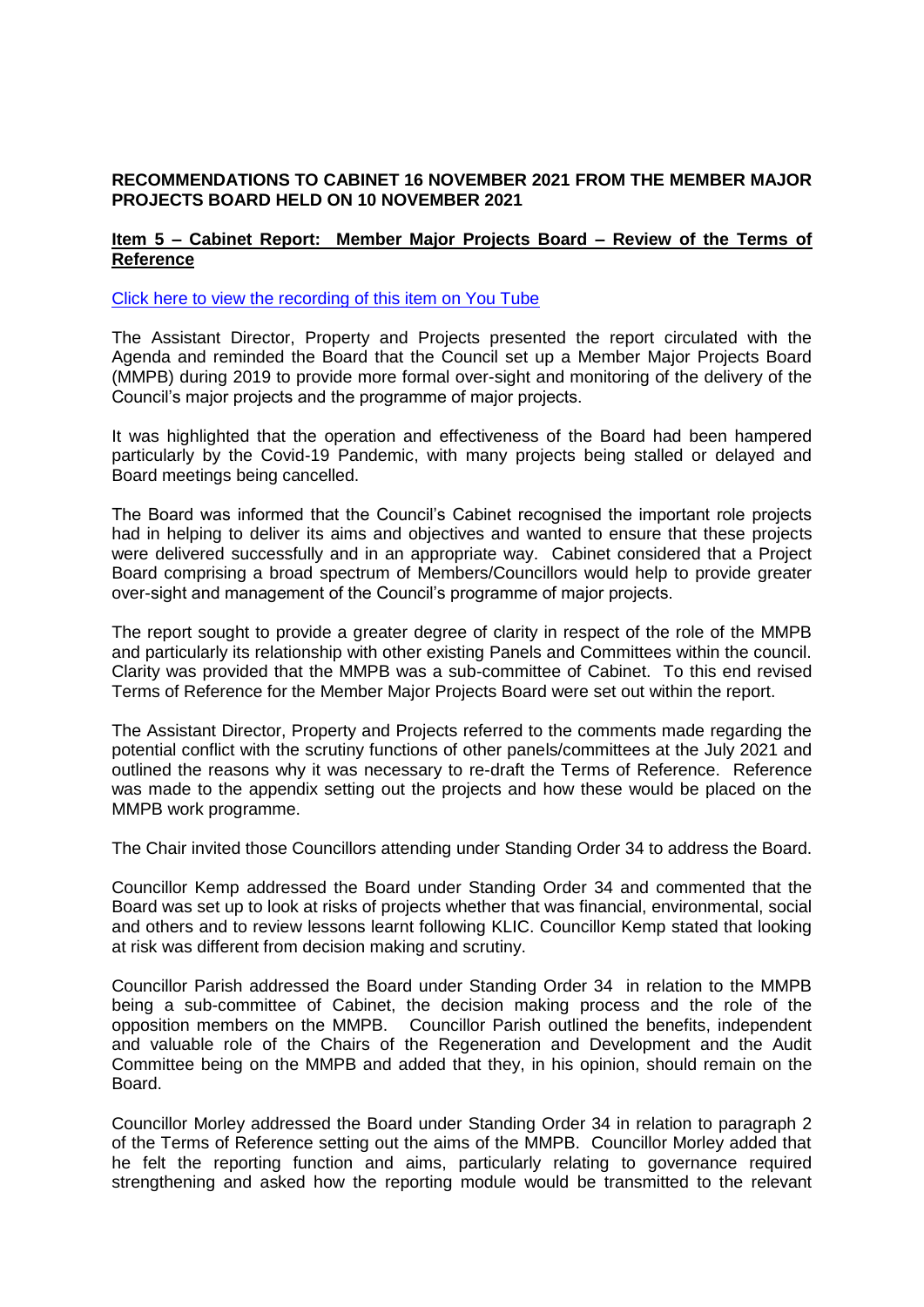## **RECOMMENDATIONS TO CABINET 16 NOVEMBER 2021 FROM THE MEMBER MAJOR PROJECTS BOARD HELD ON 10 NOVEMBER 2021**

## **Item 5 – Cabinet Report: Member Major Projects Board – Review of the Terms of Reference**

[Click here to view the recording of this item on You Tube](https://youtu.be/h4mpQ16i0VM?t=439)

The Assistant Director, Property and Projects presented the report circulated with the Agenda and reminded the Board that the Council set up a Member Major Projects Board (MMPB) during 2019 to provide more formal over-sight and monitoring of the delivery of the Council's major projects and the programme of major projects.

It was highlighted that the operation and effectiveness of the Board had been hampered particularly by the Covid-19 Pandemic, with many projects being stalled or delayed and Board meetings being cancelled.

The Board was informed that the Council's Cabinet recognised the important role projects had in helping to deliver its aims and objectives and wanted to ensure that these projects were delivered successfully and in an appropriate way. Cabinet considered that a Project Board comprising a broad spectrum of Members/Councillors would help to provide greater over-sight and management of the Council's programme of major projects.

The report sought to provide a greater degree of clarity in respect of the role of the MMPB and particularly its relationship with other existing Panels and Committees within the council. Clarity was provided that the MMPB was a sub-committee of Cabinet. To this end revised Terms of Reference for the Member Major Projects Board were set out within the report.

The Assistant Director, Property and Projects referred to the comments made regarding the potential conflict with the scrutiny functions of other panels/committees at the July 2021 and outlined the reasons why it was necessary to re-draft the Terms of Reference. Reference was made to the appendix setting out the projects and how these would be placed on the MMPB work programme.

The Chair invited those Councillors attending under Standing Order 34 to address the Board.

Councillor Kemp addressed the Board under Standing Order 34 and commented that the Board was set up to look at risks of projects whether that was financial, environmental, social and others and to review lessons learnt following KLIC. Councillor Kemp stated that looking at risk was different from decision making and scrutiny.

Councillor Parish addressed the Board under Standing Order 34 in relation to the MMPB being a sub-committee of Cabinet, the decision making process and the role of the opposition members on the MMPB. Councillor Parish outlined the benefits, independent and valuable role of the Chairs of the Regeneration and Development and the Audit Committee being on the MMPB and added that they, in his opinion, should remain on the Board.

Councillor Morley addressed the Board under Standing Order 34 in relation to paragraph 2 of the Terms of Reference setting out the aims of the MMPB. Councillor Morley added that he felt the reporting function and aims, particularly relating to governance required strengthening and asked how the reporting module would be transmitted to the relevant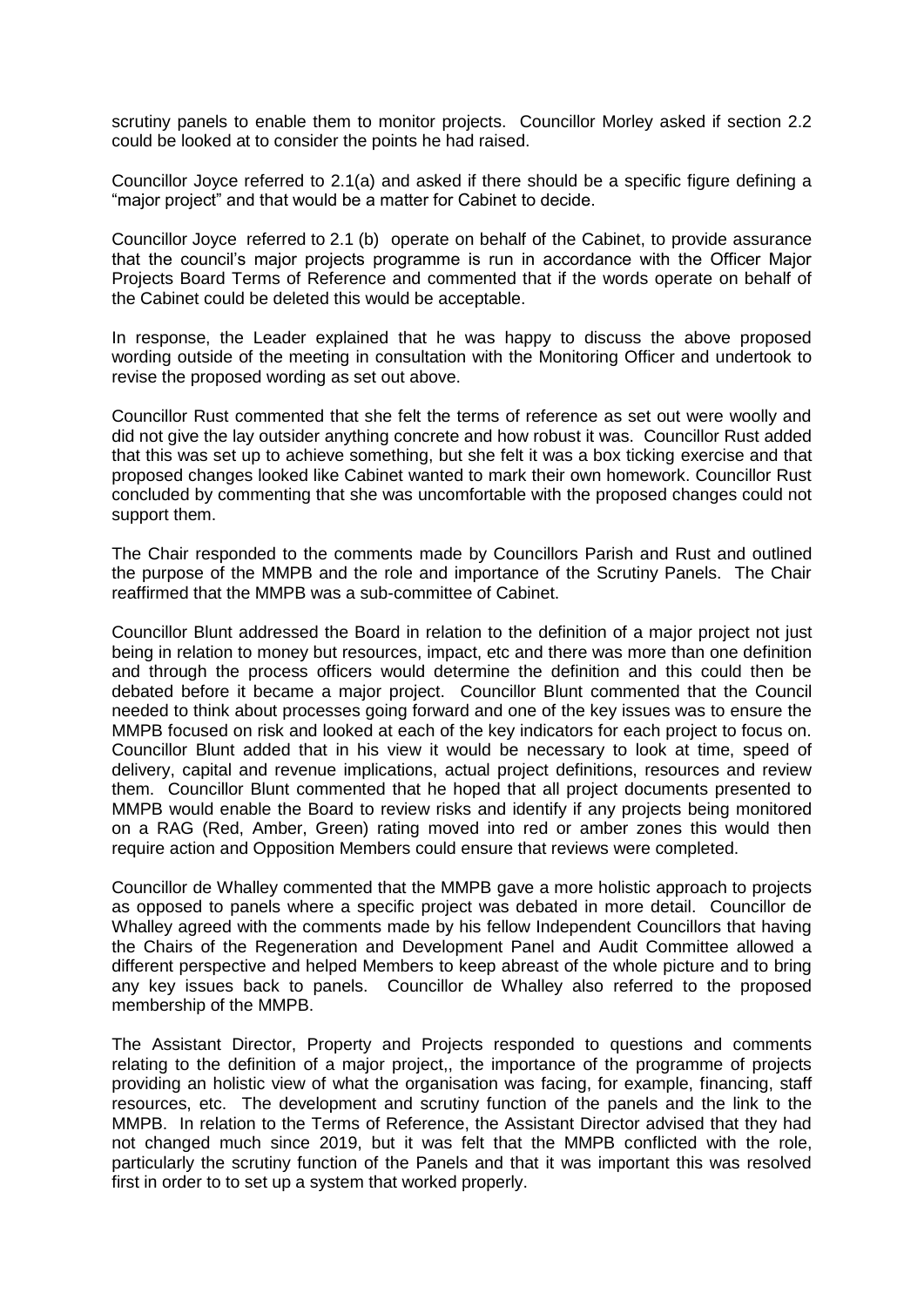scrutiny panels to enable them to monitor projects. Councillor Morley asked if section 2.2 could be looked at to consider the points he had raised.

Councillor Joyce referred to 2.1(a) and asked if there should be a specific figure defining a "major project" and that would be a matter for Cabinet to decide.

Councillor Joyce referred to 2.1 (b) operate on behalf of the Cabinet, to provide assurance that the council's major projects programme is run in accordance with the Officer Major Projects Board Terms of Reference and commented that if the words operate on behalf of the Cabinet could be deleted this would be acceptable.

In response, the Leader explained that he was happy to discuss the above proposed wording outside of the meeting in consultation with the Monitoring Officer and undertook to revise the proposed wording as set out above.

Councillor Rust commented that she felt the terms of reference as set out were woolly and did not give the lay outsider anything concrete and how robust it was. Councillor Rust added that this was set up to achieve something, but she felt it was a box ticking exercise and that proposed changes looked like Cabinet wanted to mark their own homework. Councillor Rust concluded by commenting that she was uncomfortable with the proposed changes could not support them.

The Chair responded to the comments made by Councillors Parish and Rust and outlined the purpose of the MMPB and the role and importance of the Scrutiny Panels. The Chair reaffirmed that the MMPB was a sub-committee of Cabinet.

Councillor Blunt addressed the Board in relation to the definition of a major project not just being in relation to money but resources, impact, etc and there was more than one definition and through the process officers would determine the definition and this could then be debated before it became a major project. Councillor Blunt commented that the Council needed to think about processes going forward and one of the key issues was to ensure the MMPB focused on risk and looked at each of the key indicators for each project to focus on. Councillor Blunt added that in his view it would be necessary to look at time, speed of delivery, capital and revenue implications, actual project definitions, resources and review them. Councillor Blunt commented that he hoped that all project documents presented to MMPB would enable the Board to review risks and identify if any projects being monitored on a RAG (Red, Amber, Green) rating moved into red or amber zones this would then require action and Opposition Members could ensure that reviews were completed.

Councillor de Whalley commented that the MMPB gave a more holistic approach to projects as opposed to panels where a specific project was debated in more detail. Councillor de Whalley agreed with the comments made by his fellow Independent Councillors that having the Chairs of the Regeneration and Development Panel and Audit Committee allowed a different perspective and helped Members to keep abreast of the whole picture and to bring any key issues back to panels. Councillor de Whalley also referred to the proposed membership of the MMPB.

The Assistant Director, Property and Projects responded to questions and comments relating to the definition of a major project,, the importance of the programme of projects providing an holistic view of what the organisation was facing, for example, financing, staff resources, etc. The development and scrutiny function of the panels and the link to the MMPB. In relation to the Terms of Reference, the Assistant Director advised that they had not changed much since 2019, but it was felt that the MMPB conflicted with the role, particularly the scrutiny function of the Panels and that it was important this was resolved first in order to to set up a system that worked properly.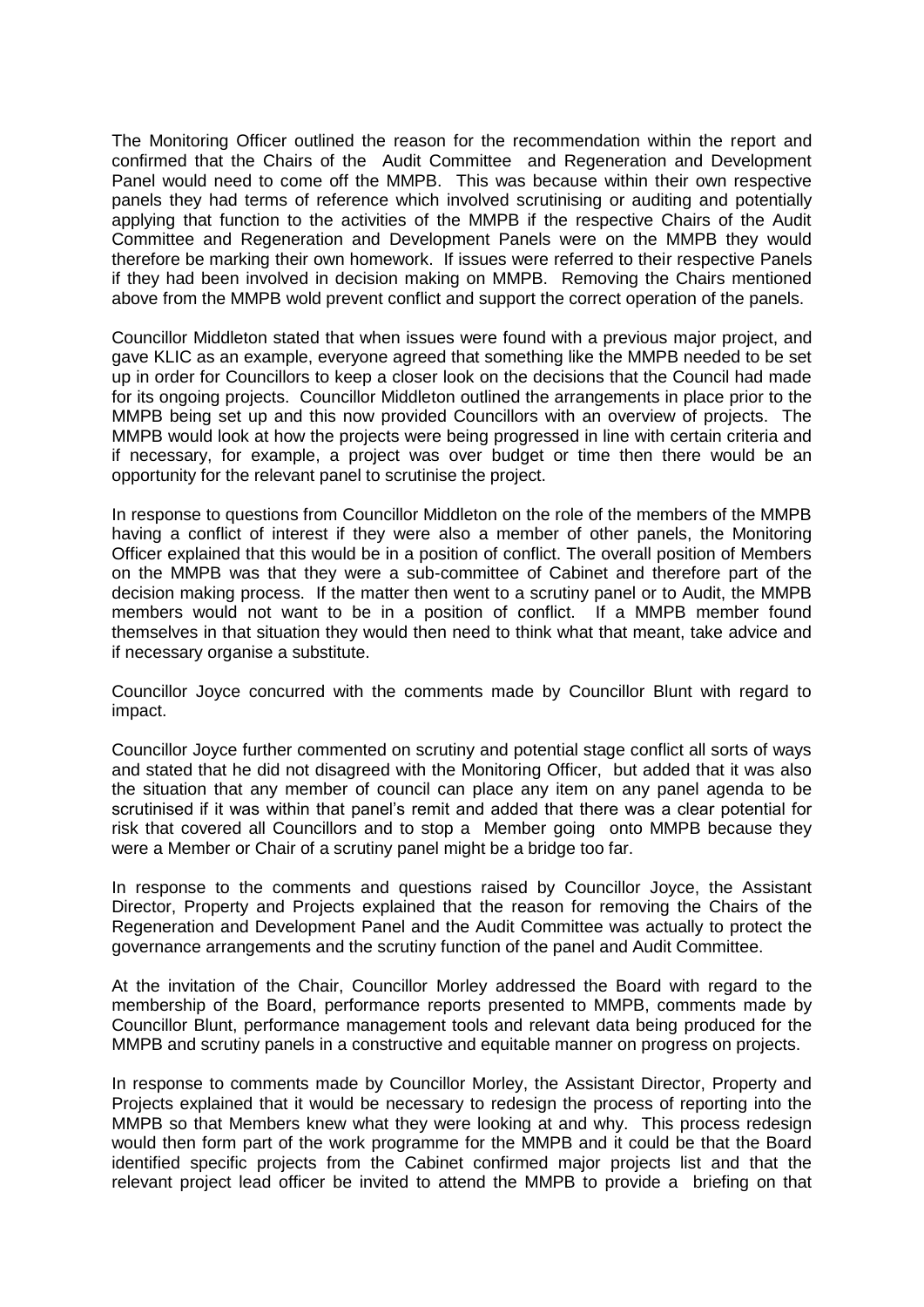The Monitoring Officer outlined the reason for the recommendation within the report and confirmed that the Chairs of the Audit Committee and Regeneration and Development Panel would need to come off the MMPB. This was because within their own respective panels they had terms of reference which involved scrutinising or auditing and potentially applying that function to the activities of the MMPB if the respective Chairs of the Audit Committee and Regeneration and Development Panels were on the MMPB they would therefore be marking their own homework. If issues were referred to their respective Panels if they had been involved in decision making on MMPB. Removing the Chairs mentioned above from the MMPB wold prevent conflict and support the correct operation of the panels.

Councillor Middleton stated that when issues were found with a previous major project, and gave KLIC as an example, everyone agreed that something like the MMPB needed to be set up in order for Councillors to keep a closer look on the decisions that the Council had made for its ongoing projects. Councillor Middleton outlined the arrangements in place prior to the MMPB being set up and this now provided Councillors with an overview of projects. The MMPB would look at how the projects were being progressed in line with certain criteria and if necessary, for example, a project was over budget or time then there would be an opportunity for the relevant panel to scrutinise the project.

In response to questions from Councillor Middleton on the role of the members of the MMPB having a conflict of interest if they were also a member of other panels, the Monitoring Officer explained that this would be in a position of conflict. The overall position of Members on the MMPB was that they were a sub-committee of Cabinet and therefore part of the decision making process. If the matter then went to a scrutiny panel or to Audit, the MMPB members would not want to be in a position of conflict. If a MMPB member found themselves in that situation they would then need to think what that meant, take advice and if necessary organise a substitute.

Councillor Joyce concurred with the comments made by Councillor Blunt with regard to impact.

Councillor Joyce further commented on scrutiny and potential stage conflict all sorts of ways and stated that he did not disagreed with the Monitoring Officer, but added that it was also the situation that any member of council can place any item on any panel agenda to be scrutinised if it was within that panel's remit and added that there was a clear potential for risk that covered all Councillors and to stop a Member going onto MMPB because they were a Member or Chair of a scrutiny panel might be a bridge too far.

In response to the comments and questions raised by Councillor Joyce, the Assistant Director, Property and Projects explained that the reason for removing the Chairs of the Regeneration and Development Panel and the Audit Committee was actually to protect the governance arrangements and the scrutiny function of the panel and Audit Committee.

At the invitation of the Chair, Councillor Morley addressed the Board with regard to the membership of the Board, performance reports presented to MMPB, comments made by Councillor Blunt, performance management tools and relevant data being produced for the MMPB and scrutiny panels in a constructive and equitable manner on progress on projects.

In response to comments made by Councillor Morley, the Assistant Director, Property and Projects explained that it would be necessary to redesign the process of reporting into the MMPB so that Members knew what they were looking at and why. This process redesign would then form part of the work programme for the MMPB and it could be that the Board identified specific projects from the Cabinet confirmed major projects list and that the relevant project lead officer be invited to attend the MMPB to provide a briefing on that